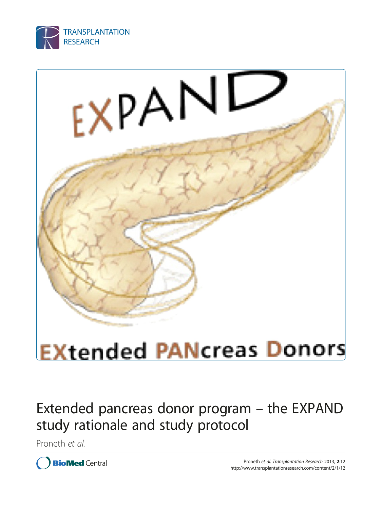



Extended pancreas donor program – the EXPAND study rationale and study protocol

Proneth et al.

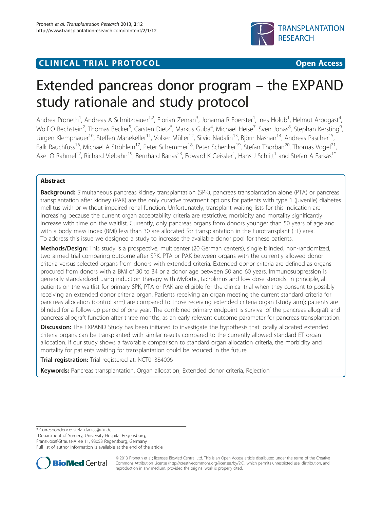# **CLINICAL TRIAL PROTOCOL CLINICAL TRIAL PROTOCOL**



# Extended pancreas donor program – the EXPAND study rationale and study protocol

Andrea Proneth<sup>1</sup>, Andreas A Schnitzbauer<sup>1,2</sup>, Florian Zeman<sup>3</sup>, Johanna R Foerster<sup>1</sup>, Ines Holub<sup>1</sup>, Helmut Arbogast<sup>4</sup> , Wolf O Bechstein<sup>2</sup>, Thomas Becker<sup>5</sup>, Carsten Dietz<sup>6</sup>, Markus Guba<sup>4</sup>, Michael Heise<sup>7</sup>, Sven Jonas<sup>8</sup>, Stephan Kersting<sup>s</sup> , Jürgen Klempnauer<sup>10</sup>, Steffen Manekeller<sup>11</sup>, Volker Müller<sup>12</sup>, Silvio Nadalin<sup>13</sup>, Björn Nashan<sup>14</sup>, Andreas Pascher<sup>15</sup>, Falk Rauchfuss<sup>16</sup>, Michael A Ströhlein<sup>17</sup>, Peter Schemmer<sup>18</sup>, Peter Schenker<sup>19</sup>, Stefan Thorban<sup>20</sup>, Thomas Vogel<sup>21</sup>, Axel O Rahmel<sup>22</sup>, Richard Viebahn<sup>19</sup>, Bernhard Banas<sup>23</sup>, Edward K Geissler<sup>1</sup>, Hans J Schlitt<sup>1</sup> and Stefan A Farkas<sup>1\*</sup>

# Abstract

Background: Simultaneous pancreas kidney transplantation (SPK), pancreas transplantation alone (PTA) or pancreas transplantation after kidney (PAK) are the only curative treatment options for patients with type 1 (juvenile) diabetes mellitus with or without impaired renal function. Unfortunately, transplant waiting lists for this indication are increasing because the current organ acceptability criteria are restrictive; morbidity and mortality significantly increase with time on the waitlist. Currently, only pancreas organs from donors younger than 50 years of age and with a body mass index (BMI) less than 30 are allocated for transplantation in the Eurotransplant (ET) area. To address this issue we designed a study to increase the available donor pool for these patients.

Methods/Design: This study is a prospective, multicenter (20 German centers), single blinded, non-randomized, two armed trial comparing outcome after SPK, PTA or PAK between organs with the currently allowed donor criteria versus selected organs from donors with extended criteria. Extended donor criteria are defined as organs procured from donors with a BMI of 30 to 34 or a donor age between 50 and 60 years. Immunosuppression is generally standardized using induction therapy with Myfortic, tacrolimus and low dose steroids. In principle, all patients on the waitlist for primary SPK, PTA or PAK are eligible for the clinical trial when they consent to possibly receiving an extended donor criteria organ. Patients receiving an organ meeting the current standard criteria for pancreas allocation (control arm) are compared to those receiving extended criteria organ (study arm); patients are blinded for a follow-up period of one year. The combined primary endpoint is survival of the pancreas allograft and pancreas allograft function after three months, as an early relevant outcome parameter for pancreas transplantation.

**Discussion:** The EXPAND Study has been initiated to investigate the hypothesis that locally allocated extended criteria organs can be transplanted with similar results compared to the currently allowed standard ET organ allocation. If our study shows a favorable comparison to standard organ allocation criteria, the morbidity and mortality for patients waiting for transplantation could be reduced in the future.

# Trial registration: Trial registered at: [NCT01384006](http://www.clinicaltrials.gov)

Keywords: Pancreas transplantation, Organ allocation, Extended donor criteria, Rejection

\* Correspondence: [stefan.farkas@ukr.de](mailto:stefan.farkas@ukr.de) <sup>1</sup>

<sup>1</sup>Department of Surgery, University Hospital Regensburg,

Franz-Josef-Strauss-Allee 11, 93053 Regensburg, Germany

Full list of author information is available at the end of the article



© 2013 Proneth et al.; licensee BioMed Central Ltd. This is an Open Access article distributed under the terms of the Creative Commons Attribution License [\(http://creativecommons.org/licenses/by/2.0\)](http://creativecommons.org/licenses/by/2.0), which permits unrestricted use, distribution, and reproduction in any medium, provided the original work is properly cited.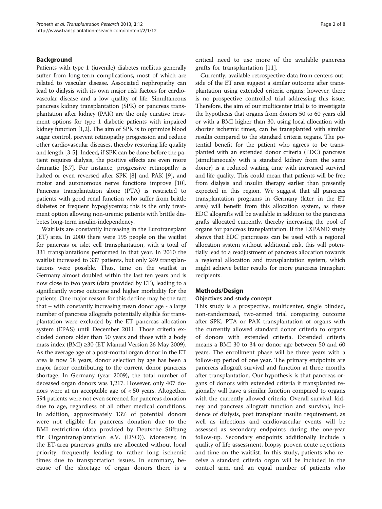### Background

Patients with type 1 (juvenile) diabetes mellitus generally suffer from long-term complications, most of which are related to vascular disease. Associated nephropathy can lead to dialysis with its own major risk factors for cardiovascular disease and a low quality of life. Simultaneous pancreas kidney transplantation (SPK) or pancreas transplantation after kidney (PAK) are the only curative treatment options for type 1 diabetic patients with impaired kidney function [\[1,2\]](#page-7-0). The aim of SPK is to optimize blood sugar control, prevent retinopathy progression and reduce other cardiovascular diseases, thereby restoring life quality and length [[3-5\]](#page-7-0). Indeed, if SPK can be done before the patient requires dialysis, the positive effects are even more dramatic [[6,7](#page-7-0)]. For instance, progressive retinopathy is halted or even reversed after SPK [[8\]](#page-7-0) and PAK [[9](#page-7-0)], and motor and autonomous nerve functions improve [[10](#page-7-0)]. Pancreas transplantation alone (PTA) is restricted to patients with good renal function who suffer from brittle diabetes or frequent hypoglycemia; this is the only treatment option allowing non-uremic patients with brittle diabetes long-term insulin-independency.

Waitlists are constantly increasing in the Eurotransplant (ET) area. In 2000 there were 195 people on the waitlist for pancreas or islet cell transplantation, with a total of 331 transplantations performed in that year. In 2010 the waitlist increased to 337 patients, but only 249 transplantations were possible. Thus, time on the waitlist in Germany almost doubled within the last ten years and is now close to two years (data provided by ET), leading to a significantly worse outcome and higher morbidity for the patients. One major reason for this decline may be the fact that – with constantly increasing mean donor age - a large number of pancreas allografts potentially eligible for transplantation were excluded by the ET pancreas allocation system (EPAS) until December 2011. Those criteria excluded donors older than 50 years and those with a body mass index (BMI) ≥30 (ET Manual Version 26 May 2009). As the average age of a post-mortal organ donor in the ET area is now 58 years, donor selection by age has been a major factor contributing to the current donor pancreas shortage. In Germany (year 2009), the total number of deceased organ donors was 1,217. However, only 407 donors were at an acceptable age of < 50 years. Altogether, 594 patients were not even screened for pancreas donation due to age, regardless of all other medical conditions. In addition, approximately 13% of potential donors were not eligible for pancreas donation due to the BMI restriction (data provided by Deutsche Stiftung für Organtransplantation e.V. (DSO)). Moreover, in the ET-area pancreas grafts are allocated without local priority, frequently leading to rather long ischemic times due to transportation issues. In summary, because of the shortage of organ donors there is a critical need to use more of the available pancreas grafts for transplantation [\[11](#page-7-0)].

Currently, available retrospective data from centers outside of the ET area suggest a similar outcome after transplantation using extended criteria organs; however, there is no prospective controlled trial addressing this issue. Therefore, the aim of our multicenter trial is to investigate the hypothesis that organs from donors 50 to 60 years old or with a BMI higher than 30, using local allocation with shorter ischemic times, can be transplanted with similar results compared to the standard criteria organs. The potential benefit for the patient who agrees to be transplanted with an extended donor criteria (EDC) pancreas (simultaneously with a standard kidney from the same donor) is a reduced waiting time with increased survival and life quality. This could mean that patients will be free from dialysis and insulin therapy earlier than presently expected in this region. We suggest that all pancreas transplantation programs in Germany (later, in the ET area) will benefit from this allocation system, as these EDC allografts will be available in addition to the pancreas grafts allocated currently, thereby increasing the pool of organs for pancreas transplantation. If the EXPAND study shows that EDC pancreases can be used with a regional allocation system without additional risk, this will potentially lead to a readjustment of pancreas allocation towards a regional allocation and transplantation system, which might achieve better results for more pancreas transplant recipients.

# Methods/Design

#### Objectives and study concept

This study is a prospective, multicenter, single blinded, non-randomized, two-armed trial comparing outcome after SPK, PTA or PAK transplantation of organs with the currently allowed standard donor criteria to organs of donors with extended criteria. Extended criteria means a BMI 30 to 34 or donor age between 50 and 60 years. The enrollment phase will be three years with a follow-up period of one year. The primary endpoints are pancreas allograft survival and function at three months after transplantation. Our hypothesis is that pancreas organs of donors with extended criteria if transplanted regionally will have a similar function compared to organs with the currently allowed criteria. Overall survival, kidney and pancreas allograft function and survival, incidence of dialysis, post transplant insulin requirement, as well as infections and cardiovascular events will be assessed as secondary endpoints during the one-year follow-up. Secondary endpoints additionally include a quality of life assessment, biopsy proven acute rejections and time on the waitlist. In this study, patients who receive a standard criteria organ will be included in the control arm, and an equal number of patients who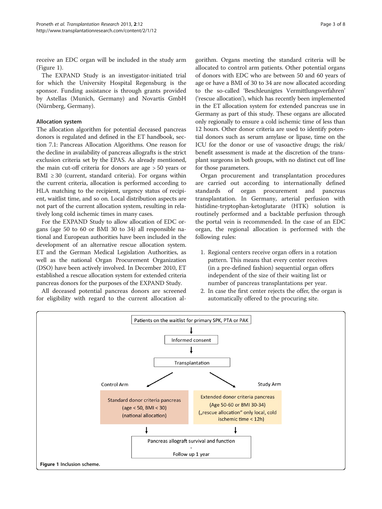receive an EDC organ will be included in the study arm (Figure 1).

The EXPAND Study is an investigator-initiated trial for which the University Hospital Regensburg is the sponsor. Funding assistance is through grants provided by Astellas (Munich, Germany) and Novartis GmbH (Nürnberg, Germany).

### Allocation system

The allocation algorithm for potential deceased pancreas donors is regulated and defined in the ET handbook, section 7.1: Pancreas Allocation Algorithms. One reason for the decline in availability of pancreas allografts is the strict exclusion criteria set by the EPAS. As already mentioned, the main cut-off criteria for donors are age > 50 years or BMI  $\geq$  30 (current, standard criteria). For organs within the current criteria, allocation is performed according to HLA matching to the recipient, urgency status of recipient, waitlist time, and so on. Local distribution aspects are not part of the current allocation system, resulting in relatively long cold ischemic times in many cases.

For the EXPAND Study to allow allocation of EDC organs (age 50 to 60 or BMI 30 to 34) all responsible national and European authorities have been included in the development of an alternative rescue allocation system. ET and the German Medical Legislation Authorities, as well as the national Organ Procurement Organization (DSO) have been actively involved. In December 2010, ET established a rescue allocation system for extended criteria pancreas donors for the purposes of the EXPAND Study.

All deceased potential pancreas donors are screened for eligibility with regard to the current allocation al-

gorithm. Organs meeting the standard criteria will be allocated to control arm patients. Other potential organs of donors with EDC who are between 50 and 60 years of age or have a BMI of 30 to 34 are now allocated according to the so-called 'Beschleunigtes Vermittlungsverfahren' ('rescue allocation'), which has recently been implemented in the ET allocation system for extended pancreas use in Germany as part of this study. These organs are allocated only regionally to ensure a cold ischemic time of less than 12 hours. Other donor criteria are used to identify potential donors such as serum amylase or lipase, time on the ICU for the donor or use of vasoactive drugs; the risk/ benefit assessment is made at the discretion of the transplant surgeons in both groups, with no distinct cut off line for those parameters.

Organ procurement and transplantation procedures are carried out according to internationally defined standards of organ procurement and pancreas transplantation. In Germany, arterial perfusion with histidine-tryptophan-ketoglutarate (HTK) solution is routinely performed and a backtable perfusion through the portal vein is recommended. In the case of an EDC organ, the regional allocation is performed with the following rules:

- 1. Regional centers receive organ offers in a rotation pattern. This means that every center receives (in a pre-defined fashion) sequential organ offers independent of the size of their waiting list or number of pancreas transplantations per year.
- 2. In case the first center rejects the offer, the organ is automatically offered to the procuring site.

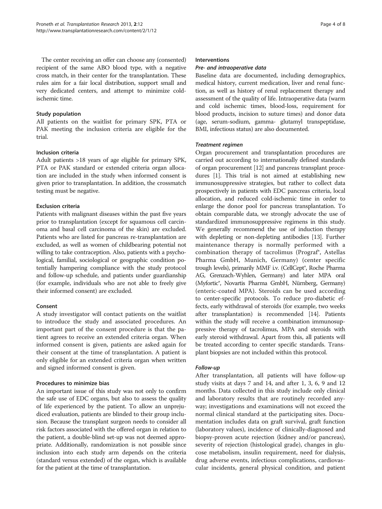The center receiving an offer can choose any (consented) recipient of the same ABO blood type, with a negative cross match, in their center for the transplantation. These rules aim for a fair local distribution, support small and very dedicated centers, and attempt to minimize coldischemic time.

#### Study population

All patients on the waitlist for primary SPK, PTA or PAK meeting the inclusion criteria are eligible for the trial.

#### Inclusion criteria

Adult patients >18 years of age eligible for primary SPK, PTA or PAK standard or extended criteria organ allocation are included in the study when informed consent is given prior to transplantation. In addition, the crossmatch testing must be negative.

# Exclusion criteria

Patients with malignant diseases within the past five years prior to transplantation (except for squamous cell carcinoma and basal cell carcinoma of the skin) are excluded. Patients who are listed for pancreas re-transplantation are excluded, as well as women of childbearing potential not willing to take contraception. Also, patients with a psychological, familial, sociological or geographic condition potentially hampering compliance with the study protocol and follow-up schedule, and patients under guardianship (for example, individuals who are not able to freely give their informed consent) are excluded.

# Consent

A study investigator will contact patients on the waitlist to introduce the study and associated procedures. An important part of the consent procedure is that the patient agrees to receive an extended criteria organ. When informed consent is given, patients are asked again for their consent at the time of transplantation. A patient is only eligible for an extended criteria organ when written and signed informed consent is given.

#### Procedures to minimize bias

An important issue of this study was not only to confirm the safe use of EDC organs, but also to assess the quality of life experienced by the patient. To allow an unprejudiced evaluation, patients are blinded to their group inclusion. Because the transplant surgeon needs to consider all risk factors associated with the offered organ in relation to the patient, a double-blind set-up was not deemed appropriate. Additionally, randomization is not possible since inclusion into each study arm depends on the criteria (standard versus extended) of the organ, which is available for the patient at the time of transplantation.

#### Interventions

#### Pre- and intraoperative data

Baseline data are documented, including demographics, medical history, current medication, liver and renal function, as well as history of renal replacement therapy and assessment of the quality of life. Intraoperative data (warm and cold ischemic times, blood-loss, requirement for blood products, incision to suture times) and donor data (age, serum-sodium, gamma- glutamyl transpeptidase, BMI, infectious status) are also documented.

#### Treatment regimen

Organ procurement and transplantation procedures are carried out according to internationally defined standards of organ procurement [[12](#page-7-0)] and pancreas transplant procedures [\[1](#page-7-0)]. This trial is not aimed at establishing new immunosuppressive strategies, but rather to collect data prospectively in patients with EDC pancreas criteria, local allocation, and reduced cold-ischemic time in order to enlarge the donor pool for pancreas transplantation. To obtain comparable data, we strongly advocate the use of standardized immunosuppressive regimens in this study. We generally recommend the use of induction therapy with depleting or non-depleting antibodies [\[13\]](#page-7-0). Further maintenance therapy is normally performed with a combination therapy of tacrolimus (Prograf®, Astellas Pharma GmbH, Munich, Germany) (center specific trough levels), primarily MMF i.v. (CellCept®, Roche Pharma AG, Grenzach-Wyhlen, Germany) and later MPA oral (Myfortic®, Novartis Pharma GmbH, Nürnberg, Germany) (enteric-coated MPA). Steroids can be used according to center-specific protocols. To reduce pro-diabetic effects, early withdrawal of steroids (for example, two weeks after transplantation) is recommended [\[14\]](#page-7-0). Patients within the study will receive a combination immunosuppressive therapy of tacrolimus, MPA and steroids with early steroid withdrawal. Apart from this, all patients will be treated according to center specific standards. Transplant biopsies are not included within this protocol.

#### Follow-up

After transplantation, all patients will have follow-up study visits at days 7 and 14, and after 1, 3, 6, 9 and 12 months. Data collected in this study include only clinical and laboratory results that are routinely recorded anyway; investigations and examinations will not exceed the normal clinical standard at the participating sites. Documentation includes data on graft survival, graft function (laboratory values), incidence of clinically-diagnosed and biopsy-proven acute rejection (kidney and/or pancreas), severity of rejection (histological grade), changes in glucose metabolism, insulin requirement, need for dialysis, drug adverse events, infectious complications, cardiovascular incidents, general physical condition, and patient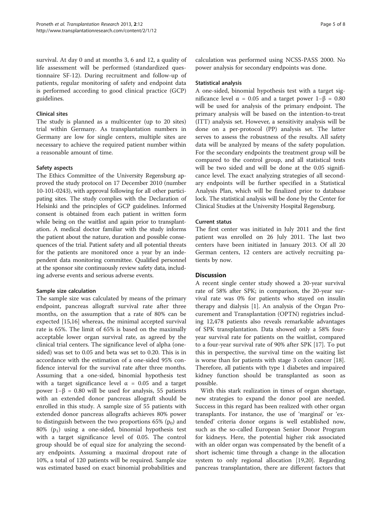survival. At day 0 and at months 3, 6 and 12, a quality of life assessment will be performed (standardized questionnaire SF-12). During recruitment and follow-up of patients, regular monitoring of safety and endpoint data is performed according to good clinical practice (GCP) guidelines.

#### Clinical sites

The study is planned as a multicenter (up to 20 sites) trial within Germany. As transplantation numbers in Germany are low for single centers, multiple sites are necessary to achieve the required patient number within a reasonable amount of time.

#### Safety aspects

The Ethics Committee of the University Regensburg approved the study protocol on 17 December 2010 (number 10-101-0243), with approval following for all other participating sites. The study complies with the Declaration of Helsinki and the principles of GCP guidelines. Informed consent is obtained from each patient in written form while being on the waitlist and again prior to transplantation. A medical doctor familiar with the study informs the patient about the nature, duration and possible consequences of the trial. Patient safety and all potential threats for the patients are monitored once a year by an independent data monitoring committee. Qualified personnel at the sponsor site continuously review safety data, including adverse events and serious adverse events.

# Sample size calculation

The sample size was calculated by means of the primary endpoint, pancreas allograft survival rate after three months, on the assumption that a rate of 80% can be expected [\[15,16](#page-7-0)] whereas, the minimal accepted survival rate is 65%. The limit of 65% is based on the maximally acceptable lower organ survival rate, as agreed by the clinical trial centers. The significance level of alpha (onesided) was set to 0.05 and beta was set to 0.20. This is in accordance with the estimation of a one-sided 95% confidence interval for the survival rate after three months. Assuming that a one-sided, binomial hypothesis test with a target significance level  $\alpha = 0.05$  and a target power 1−β = 0.80 will be used for analysis, 55 patients with an extended donor pancreas allograft should be enrolled in this study. A sample size of 55 patients with extended donor pancreas allografts achieves 80% power to distinguish between the two proportions 65%  $(p_0)$  and 80% (p1) using a one-sided, binomial hypothesis test with a target significance level of 0.05. The control group should be of equal size for analyzing the secondary endpoints. Assuming a maximal dropout rate of 10%, a total of 120 patients will be required. Sample size was estimated based on exact binomial probabilities and calculation was performed using NCSS-PASS 2000. No power analysis for secondary endpoints was done.

#### Statistical analysis

A one-sided, binomial hypothesis test with a target significance level  $\alpha = 0.05$  and a target power 1–β = 0.80 will be used for analysis of the primary endpoint. The primary analysis will be based on the intention-to-treat (ITT) analysis set. However, a sensitivity analysis will be done on a per-protocol (PP) analysis set. The latter serves to assess the robustness of the results. All safety data will be analyzed by means of the safety population. For the secondary endpoints the treatment group will be compared to the control group, and all statistical tests will be two sided and will be done at the 0.05 significance level. The exact analyzing strategies of all secondary endpoints will be further specified in a Statistical Analysis Plan, which will be finalized prior to database lock. The statistical analysis will be done by the Center for Clinical Studies at the University Hospital Regensburg.

#### Current status

The first center was initiated in July 2011 and the first patient was enrolled on 26 July 2011. The last two centers have been initiated in January 2013. Of all 20 German centers, 12 centers are actively recruiting patients by now.

# **Discussion**

A recent single center study showed a 20-year survival rate of 58% after SPK; in comparison, the 20-year survival rate was 0% for patients who stayed on insulin therapy and dialysis [\[1](#page-7-0)]. An analysis of the Organ Procurement and Transplantation (OPTN) registries including 12,478 patients also reveals remarkable advantages of SPK transplantation. Data showed only a 58% fouryear survival rate for patients on the waitlist, compared to a four-year survival rate of 90% after SPK [\[17\]](#page-7-0). To put this in perspective, the survival time on the waiting list is worse than for patients with stage 3 colon cancer [\[18](#page-7-0)]. Therefore, all patients with type 1 diabetes and impaired kidney function should be transplanted as soon as possible.

With this stark realization in times of organ shortage, new strategies to expand the donor pool are needed. Success in this regard has been realized with other organ transplants. For instance, the use of 'marginal' or 'extended' criteria donor organs is well established now, such as the so-called European Senior Donor Program for kidneys. Here, the potential higher risk associated with an older organ was compensated by the benefit of a short ischemic time through a change in the allocation system to only regional allocation [\[19,20](#page-7-0)]. Regarding pancreas transplantation, there are different factors that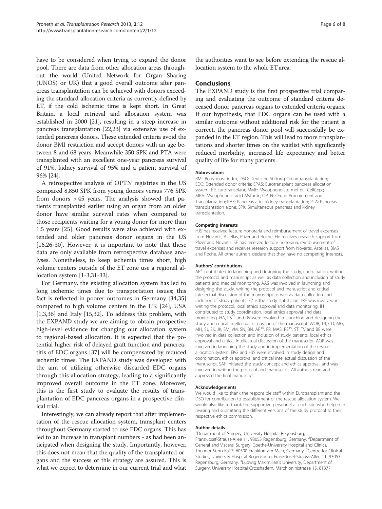have to be considered when trying to expand the donor pool. There are data from other allocation areas throughout the world (United Network for Organ Sharing (UNOS) or UK) that a good overall outcome after pancreas transplantation can be achieved with donors exceeding the standard allocation criteria as currently defined by ET, if the cold ischemic time is kept short. In Great Britain, a local retrieval and allocation system was established in 2000 [\[21\]](#page-7-0), resulting in a steep increase in pancreas transplantation [[22,23\]](#page-7-0) via extensive use of extended pancreas donors. These extended criteria avoid the donor BMI restriction and accept donors with an age between 8 and 68 years. Meanwhile 350 SPK and PTA were transplanted with an excellent one-year pancreas survival of 91%, kidney survival of 95% and a patient survival of 96% [[24](#page-7-0)].

A retrospective analysis of OPTN registries in the US compared 8,850 SPK from young donors versus 776 SPK from donors > 45 years. The analysis showed that patients transplanted earlier using an organ from an older donor have similar survival rates when compared to those recipients waiting for a young donor for more than 1.5 years [[25](#page-7-0)]. Good results were also achieved with extended and older pancreas donor organs in the US [[16,26-](#page-7-0)[30\]](#page-8-0). However, it is important to note that these data are only available from retrospective database analyses. Nonetheless, to keep ischemia times short, high volume centers outside of the ET zone use a regional allocation system [\[1](#page-7-0)-[3,](#page-7-0)[31-33\]](#page-8-0).

For Germany, the existing allocation system has led to long ischemic times due to transportation issues; this fact is reflected in poorer outcomes in Germany [[34](#page-8-0),[35](#page-8-0)] compared to high volume centers in the UK [\[24](#page-7-0)], USA  $[1,3,36]$  $[1,3,36]$  $[1,3,36]$  and Italy  $[15,32]$  $[15,32]$  $[15,32]$ . To address this problem, with the EXPAND study we are aiming to obtain prospective high-level evidence for changing our allocation system to regional-based allocation. It is expected that the potential higher risk of delayed graft function and pancreatitis of EDC organs [\[37\]](#page-8-0) will be compensated by reduced ischemic times. The EXPAND study was developed with the aim of utilizing otherwise discarded EDC organs through this allocation strategy, leading to a significantly improved overall outcome in the ET zone. Moreover, this is the first study to evaluate the results of transplantation of EDC pancreas organs in a prospective clinical trial.

Interestingly, we can already report that after implementation of the rescue allocation system, transplant centers throughout Germany started to use EDC organs. This has led to an increase in transplant numbers - as had been anticipated when designing the study. Importantly, however, this does not mean that the quality of the transplanted organs and the success of this strategy are assured. This is what we expect to determine in our current trial and what

the authorities want to see before extending the rescue allocation system to the whole ET area.

### **Conclusions**

The EXPAND study is the first prospective trial comparing and evaluating the outcome of standard criteria deceased donor pancreas organs to extended criteria organs. If our hypothesis, that EDC organs can be used with a similar outcome without additional risk for the patient is correct, the pancreas donor pool will successfully be expanded in the ET region. This will lead to more transplantations and shorter times on the waitlist with significantly reduced morbidity, increased life expectancy and better quality of life for many patients.

#### Abbreviations

BMI: Body mass index; DSO: Deutsche Stiftung Organtransplantation; EDC: Extended donor criteria; EPAS: Eurotransplant pancreas allocation system; ET: Eurotransplant; MMF: Mycophenolate moffetil CellCept; MPA: Mycophenolic acid Myfortic; OPTN: Organ Procurement and Transplantation; PAK: Pancreas after kidney transplantation; PTA: Pancreas transplantation alone; SPK: Simultaneous pancreas and kidney transplantation.

#### Competing interests

HJS has received lecture honoraria and reimbursement of travel expenses from Novartis, Astellas, Pfizer and Roche. He receives research support from Pfizer and Novartis. SF has received lecture honoraria, reimbursement of travel expenses and receives research support from Novartis, Astellas, BMS and Roche. All other authors declare that they have no competing interests.

#### Authors' contributions

 $AP<sup>1</sup>$  contributed to launching and designing the study, coordination, writing the protocol and manuscript as well as data collection and inclusion of study patients and medical monitoring. AAS was involved in launching and designing the study, writing the protocol and manuscript and critical intellectual discussion of the manuscript as well as data collection and inclusion of study patients. FZ is the study statistician. JRF was involved in writing the protocol, local ethics approval and data monitoring. IH contributed to study coordination, local ethics approval and data monitoring. HA, PS<sup>18</sup> and RV were involved in launching and designing the study and critical intellectual discussion of the manuscript. WOB, TB, CD, MG, MH, SJ, SK, JK, SM, VM, SN, BN, AP<sup>15</sup>, FR, MAS, PS<sup>19</sup>, ST, TV and BB were involved in data collection and inclusion of study patients, local ethics approval and critical intellectual discussion of the manuscript. AOR was involved in launching the study and in implementation of the rescue allocation system. EKG and HJS were involved in study design and coordination, ethics approval and critical intellectual discussion of the manuscript. SAF initiated the study concept and ethics approval, and was involved in writing the protocol and manuscript. All authors read and approved the final manuscript.

#### Acknowledgements

We would like to thank the responsible staff within Eurotransplant and the DSO for contribution to establishment of the rescue allocation system. We would also like to thank the supportive personnel at each site who helped in revising and submitting the different versions of the study protocol to their respective ethics commission.

#### Author details

<sup>1</sup>Department of Surgery, University Hospital Regensburg, Franz-Josef-Strauss-Allee 11, 93053 Regensburg, Germany. <sup>2</sup>Department of General and Visceral Surgery, Goethe-University Hospital and Clinics, Theodor-Stern-Kai 7, 60590 Frankfurt am Main, Germany. <sup>3</sup>Centre for Clinical Studies, University Hospital Regensburg, Franz-Josef-Strauss-Allee 11, 93053 Regensburg, Germany. <sup>4</sup>Ludwig Maximilian's University, Department of Surgery, University Hospital Grosshadern, Marchioninistrasse 15, 81377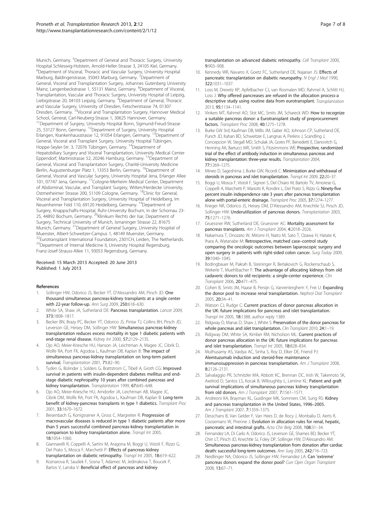<span id="page-7-0"></span>Munich, Germany. <sup>5</sup>Department of General and Thoracic Surgery, University Hospital Schleswig-Holstein, Arnold-Heller-Strasse 3, 24105 Kiel, Germany. 6 Department of Visceral, Thoracic and Vascular Surgery, University Hospital Marburg, Baldingerstrasse, 35043 Marburg, Germany. <sup>7</sup>Department of General, Visceral and Transplantation Surgery, Johannes Gutenberg University Mainz, Langenbeckstrasse 1, 55131 Mainz, Germany. <sup>8</sup>Department of Visceral, Transplantation, Vascular and Thoracic Surgery, University Hospital of Leipzig, Liebigstrasse 20, 04103 Leipzig, Germany. <sup>9</sup>Department of General, Thoracic and Vascular Surgery, University of Dresden, Fetscherstrasse 74, 01307<br>Dresden, Germany. <sup>10</sup>Visceral and Transplantation Surgery, Hannover Medical School, General, Carl-Neuberg-Strasse 1, 30625 Hannover, Germany. <sup>11</sup>Department of Surgery, University Hospital Bonn, Sigmund-Freud-Strasse 25, 53127 Bonn, Germany. <sup>12</sup>Department of Surgery, University Hospital Erlangen, Krankenhausstrasse 12, 91054 Erlangen, Germany. <sup>13</sup>Department of General, Visceral and Transplant Surgery, University Hospital Tübingen, Hoppe-Seyler-Str. 3, 72076 Tübingen, Germany. <sup>14</sup>Department of Hepatobiliary Surgery and Visceral Transplantation, University Medical Center Eppendorf, Martinistrasse 52, 20246 Hamburg, Germany. <sup>15</sup>Department of General, Visceral and Transplantation Surgery, Charité-University Medicine Berlin, Augustenburger Platz 1, 13353 Berlin, Germany. <sup>16</sup>Department of General, Visceral and Vascular Surgery, University Hospital Jena, Erlanger Allee 101, 07747 Jena, Germany. 17Cologne-Merheim Medical Center, Department of Abdominal, Vascular, and Transplant Surgery, Witten/Herdecke University, Ostmerheimer Strasse 200, 51109 Cologne, Germany. <sup>18</sup>Clinic for General, Visceral and Transplantation Surgery, University Hospital of Heidelberg, Im Neuenheimer Feld 110, 69120 Heidelberg, Germany. 19Department of Surgery, Knappschafts-Hospital, Ruhr-University Bochum, In der Schornau 23- 25, 44892 Bochum, Germany. 20Klinikum Rechts der Isar, Department of Surgery, Technical University of Munich, Ismaninger Strasse 22, 81675 Munich, Germany. 21Department of General Surgery, University Hospital of Muenster, Albert-Schweitzer-Campus 1, 48149 Muenster, Germany. <sup>22</sup>Eurotransplant International Foundation, 2301CH, Leiden, The Netherlands. <sup>23</sup>Department of Internal Medicine II, University Hospital Regensburg, Franz-Josef-Strauss-Allee 11, 93053 Regensburg, Germany.

#### Received: 15 March 2013 Accepted: 20 June 2013 Published: 1 July 2013

#### References

- 1. Sollinger HW, Odorico JS, Becker YT, D'Alessandro AM, Pirsch JD: One thousand simultaneous pancreas-kidney transplants at a single center with 22-year follow-up. Ann Surg 2009, 250:618–630.
- 2. White SA, Shaw JA, Sutherland DE: Pancreas transplantation. Lancet 2009, 373:1808–1817.
- 3. Becker BN, Brazy PC, Becker YT, Odorico JS, Pintar TJ, Collins BH, Pirsch JD, Leverson GE, Heisey DM, Sollinger HW: Simultaneous pancreas-kidney transplantation reduces excess mortality in type 1 diabetic patients with end-stage renal disease. Kidney Int 2000, 57:2129-2135.
- 4. Ojo AO, Meier-Kriesche HU, Hanson JA, Leichtman A, Magee JC, Cibrik D, Wolfe RA, Port FK, Agodoa L, Kaufman DB, Kaplan B: The impact of simultaneous pancreas-kidney transplantation on long-term patient survival. Transplantation 2001, 71:82–90.
- 5. Tyden G, Bolinder J, Solders G, Brattstrom C, Tibell A, Groth CG: Improved survival in patients with insulin-dependent diabetes mellitus and endstage diabetic nephropathy 10 years after combined pancreas and kidney transplantation. Transplantation 1999, 67:645–648.
- 6. Ojo AO, Meier-Kriesche HU, Arndorfer JA, Leichtman AB, Magee JC, Cibrik DM, Wolfe RA, Port FK, Agodoa L, Kaufman DB, Kaplan B: Long-term benefit of kidney-pancreas transplants in type 1 diabetics. Transplant Proc 2001, 33:1670–1672.
- 7. Biesenbach G, Konigsrainer A, Gross C, Margreiter R: Progression of macrovascular diseases is reduced in type 1 diabetic patients after more than 5 years successful combined pancreas-kidney transplantation in comparison to kidney transplantation alone. Transpl Int 2005, 18:1054–1060.
- 8. Giannarelli R, Coppelli A, Sartini M, Aragona M, Boggi U, Vistoli F, Rizzo G, Del Prato S, Mosca F, Marchetti P: Effects of pancreas-kidney transplantation on diabetic retinopathy. Transpl Int 2005, 18:619–622.
- 9. Koznarova R, Saudek F, Sosna T, Adamec M, Jedinakova T, Boucek P, Bartos V, Lanska V: Beneficial effect of pancreas and kidney
- 10. Kennedy WR, Navarro X, Goetz FC, Sutherland DE, Najarian JS: Effects of pancreatic transplantation on diabetic neuropathy. N Engl J Med 1990, 322:1031–1037.
- 11. Loss M, Drewitz KP, Apfelbacher CJ, van Rosmalen MD, Rahmel A, Schlitt HJ, Loss J: Why offered pancreases are refused in the allocation process-a descriptive study using routine data from eurotransplant. Transplantation 2013, 95:1134–1141.
- 12. Vinkers MT, Rahmel AO, Slot MC, Smits JM, Schareck WD: How to recognize a suitable pancreas donor: a Eurotransplant study of preprocurement factors. Transplant Proc 2008, 40:1275–1278.
- 13. Burke GW 3rd, Kaufman DB, Millis JM, Gaber AO, Johnson CP, Sutherland DE, Punch JD, Kahan BD, Schweitzer E, Langnas A, Perkins J, Scandling J, Concepcion W, Stegall MD, Schulak JA, Gores PF, Benedetti E, Danovitch G, Henning AK, Bartucci MR, Smith S, Fitzsimmons WE: Prospective, randomized trial of the effect of antibody induction in simultaneous pancreas and kidney transplantation: three-year results. Transplantation 2004, 77:1269–1275.
- 14. Mineo D, Sageshima J, Burke GW, Ricordi C: Minimization and withdrawal of steroids in pancreas and islet transplantation. Transpl Int 2009, 22:20–37.
- 15. Boggi U, Mosca F, Vistoli F, Signori S, Del Chiaro M, Bartolo TV, Amorese G, Coppelli A, Marchetti P, Mariotti R, Rondini L, Del Prato S, Rizzo G: Ninety-five percent insulin independence rate 3 years after pancreas transplantation alone with portal-enteric drainage. Transplant Proc 2005, 37:1274–1277.
- 16. Krieger NR, Odorico JS, Heisey DM, D'Alessandro AM, Knechtle SJ, Pirsch JD, Sollinger HW: Underutilization of pancreas donors. Transplantation 2003, 75:1271–1276.
- 17. Gruessner RW, Sutherland DE, Gruessner AC: Mortality assessment for pancreas transplants. Am J Transplant 2004, 4:2018–2026.
- 18. Nakamura T, Onozato W, Mitomi H, Naito M, Sato T, Ozawa H, Hatate K, Ihara A, Watanabe M: Retrospective, matched case–control study comparing the oncologic outcomes between laparoscopic surgery and open surgery in patients with right-sided colon cancer. Surg Today 2009, 39:1040–1045.
- 19. Bodingbauer M, Pakrah B, Steininger R, Berlakovich G, Rockenschaub S, Wekerle T, Muehlbacher F: The advantage of allocating kidneys from old cadaveric donors to old recipients: a single-center experience. Clin Transplant 2006, 20:471–475.
- 20. Cohen B, Smits JM, Haase B, Persijn G, Vanrenterghem Y, Frei U: Expanding the donor pool to increase renal transplantation. Nephrol Dial Transplant 2005, 20:34–41.
- 21. Watson CJ, Rudge C: Current practices of donor pancreas allocation in the UK: future implications for pancreas and islet transplantation. Transpl Int 2005, 18:1388. author reply 1389.
- 22. Ridgway D, Manas D, Shaw J, White S: Preservation of the donor pancreas for whole pancreas and islet transplantation. Clin Transplant 2010, 24:1-19.
- 23. Ridgway DM, White SA, Kimber RM, Nicholson ML: Current practices of donor pancreas allocation in the UK: future implications for pancreas and islet transplantation. Transpl Int 2005, 18:828–834.
- 24. Muthusamy AS, Vaidya AC, Sinha S, Roy D, Elker DE, Friend PJ: Alemtuzumab induction and steroid-free maintenance immunosuppression in pancreas transplantation. Am J Transplant 2008, 8:2126–2131.
- 25. Salvalaggio PR, Schnitzler MA, Abbott KC, Brennan DC, Irish W, Takemoto SK, Axelrod D, Santos LS, Kocak B, Willoughby L, Lentine KL: Patient and graft survival implications of simultaneous pancreas kidney transplantation from old donors. Am J Transplant 2007, 7:1561-1571.
- 26. Andreoni KA, Brayman KL, Guidinger MK, Sommers CM, Sung RS: Kidney and pancreas transplantation in the United States, 1996–2005. Am J Transplant 2007, 7:1359–1375.
- 27. Desschans B, Van Gelder F, Van Hees D, de Rocy J, Monbaliu D, Aerts R, Coosemans W, Pirenne J: Evolution in allocation rules for renal, hepatic, pancreatic and intestinal grafts. Acta Chir Belg 2008, 108:31-34.
- 28. Fernandez LA, Di Carlo A, Odorico JS, Leverson GE, Shames BD, Becker YT, Chin LT, Pirsch JD, Knechtle SJ, Foley DP, Sollinger HW, D'Alessandro AM: Simultaneous pancreas-kidney transplantation from donation after cardiac death: successful long-term outcomes. Ann Surg 2005, 242:716–723.
- 29. Neidlinger NA, Odorico JS, Sollinger HW, Fernandez LA: Can 'extreme' pancreas donors expand the donor pool? Curr Opin Organ Transplant 2008, 13:67–71.